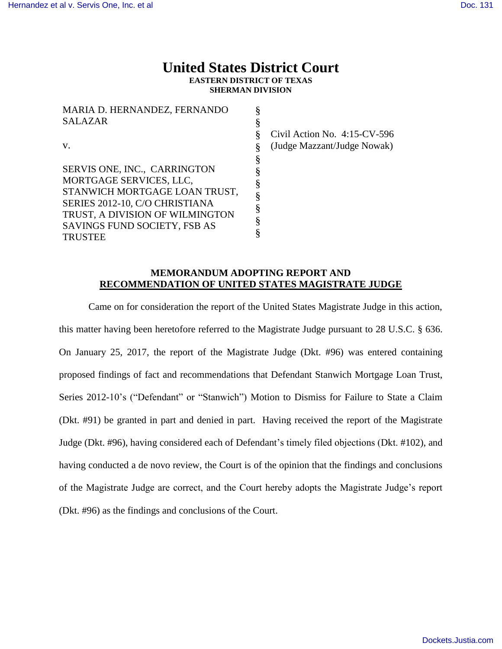# **United States District Court EASTERN DISTRICT OF TEXAS SHERMAN DIVISION**

| MARIA D. HERNANDEZ, FERNANDO    | ş |
|---------------------------------|---|
| <b>SALAZAR</b>                  | § |
|                                 | § |
| V.                              | § |
|                                 | § |
| SERVIS ONE, INC., CARRINGTON    | § |
| MORTGAGE SERVICES, LLC,         | § |
| STANWICH MORTGAGE LOAN TRUST,   | § |
| SERIES 2012-10, C/O CHRISTIANA  |   |
| TRUST, A DIVISION OF WILMINGTON | ş |
| SAVINGS FUND SOCIETY, FSB AS    | § |
| <b>TRUSTEE</b>                  | § |

Civil Action No. 4:15-CV-596 (Judge Mazzant/Judge Nowak)

## **MEMORANDUM ADOPTING REPORT AND RECOMMENDATION OF UNITED STATES MAGISTRATE JUDGE**

Came on for consideration the report of the United States Magistrate Judge in this action, this matter having been heretofore referred to the Magistrate Judge pursuant to 28 U.S.C. § 636. On January 25, 2017, the report of the Magistrate Judge (Dkt. #96) was entered containing proposed findings of fact and recommendations that Defendant Stanwich Mortgage Loan Trust, Series 2012-10's ("Defendant" or "Stanwich") Motion to Dismiss for Failure to State a Claim (Dkt. #91) be granted in part and denied in part. Having received the report of the Magistrate Judge (Dkt. #96), having considered each of Defendant's timely filed objections (Dkt. #102), and having conducted a de novo review, the Court is of the opinion that the findings and conclusions of the Magistrate Judge are correct, and the Court hereby adopts the Magistrate Judge's report (Dkt. #96) as the findings and conclusions of the Court.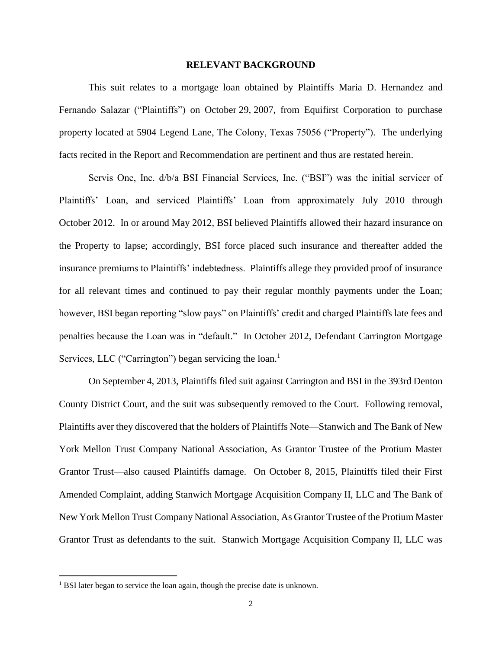### **RELEVANT BACKGROUND**

This suit relates to a mortgage loan obtained by Plaintiffs Maria D. Hernandez and Fernando Salazar ("Plaintiffs") on October 29, 2007, from Equifirst Corporation to purchase property located at 5904 Legend Lane, The Colony, Texas 75056 ("Property"). The underlying facts recited in the Report and Recommendation are pertinent and thus are restated herein.

Servis One, Inc. d/b/a BSI Financial Services, Inc. ("BSI") was the initial servicer of Plaintiffs' Loan, and serviced Plaintiffs' Loan from approximately July 2010 through October 2012. In or around May 2012, BSI believed Plaintiffs allowed their hazard insurance on the Property to lapse; accordingly, BSI force placed such insurance and thereafter added the insurance premiums to Plaintiffs' indebtedness. Plaintiffs allege they provided proof of insurance for all relevant times and continued to pay their regular monthly payments under the Loan; however, BSI began reporting "slow pays" on Plaintiffs' credit and charged Plaintiffs late fees and penalties because the Loan was in "default." In October 2012, Defendant Carrington Mortgage Services, LLC ("Carrington") began servicing the loan.<sup>1</sup>

On September 4, 2013, Plaintiffs filed suit against Carrington and BSI in the 393rd Denton County District Court, and the suit was subsequently removed to the Court. Following removal, Plaintiffs aver they discovered that the holders of Plaintiffs Note—Stanwich and The Bank of New York Mellon Trust Company National Association, As Grantor Trustee of the Protium Master Grantor Trust—also caused Plaintiffs damage. On October 8, 2015, Plaintiffs filed their First Amended Complaint, adding Stanwich Mortgage Acquisition Company II, LLC and The Bank of New York Mellon Trust Company National Association, As Grantor Trustee of the Protium Master Grantor Trust as defendants to the suit. Stanwich Mortgage Acquisition Company II, LLC was

 $\overline{a}$ 

<sup>&</sup>lt;sup>1</sup> BSI later began to service the loan again, though the precise date is unknown.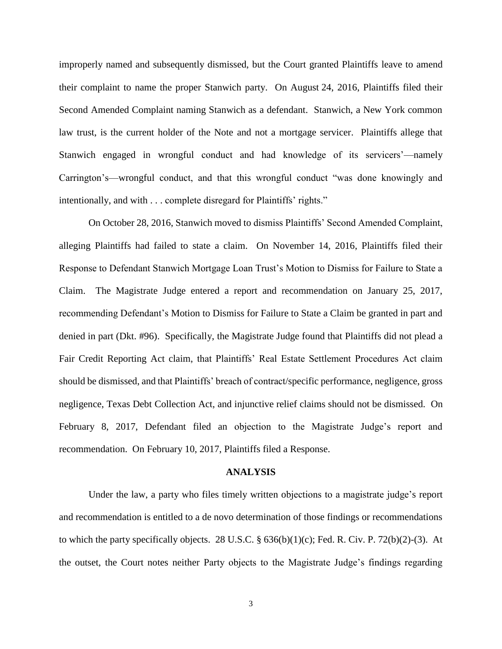improperly named and subsequently dismissed, but the Court granted Plaintiffs leave to amend their complaint to name the proper Stanwich party. On August 24, 2016, Plaintiffs filed their Second Amended Complaint naming Stanwich as a defendant. Stanwich, a New York common law trust, is the current holder of the Note and not a mortgage servicer. Plaintiffs allege that Stanwich engaged in wrongful conduct and had knowledge of its servicers'—namely Carrington's—wrongful conduct, and that this wrongful conduct "was done knowingly and intentionally, and with . . . complete disregard for Plaintiffs' rights."

On October 28, 2016, Stanwich moved to dismiss Plaintiffs' Second Amended Complaint, alleging Plaintiffs had failed to state a claim. On November 14, 2016, Plaintiffs filed their Response to Defendant Stanwich Mortgage Loan Trust's Motion to Dismiss for Failure to State a Claim. The Magistrate Judge entered a report and recommendation on January 25, 2017, recommending Defendant's Motion to Dismiss for Failure to State a Claim be granted in part and denied in part (Dkt. #96). Specifically, the Magistrate Judge found that Plaintiffs did not plead a Fair Credit Reporting Act claim, that Plaintiffs' Real Estate Settlement Procedures Act claim should be dismissed, and that Plaintiffs' breach of contract/specific performance, negligence, gross negligence, Texas Debt Collection Act, and injunctive relief claims should not be dismissed. On February 8, 2017, Defendant filed an objection to the Magistrate Judge's report and recommendation. On February 10, 2017, Plaintiffs filed a Response.

#### **ANALYSIS**

Under the law, a party who files timely written objections to a magistrate judge's report and recommendation is entitled to a de novo determination of those findings or recommendations to which the party specifically objects. 28 U.S.C.  $\S$  636(b)(1)(c); Fed. R. Civ. P. 72(b)(2)-(3). At the outset, the Court notes neither Party objects to the Magistrate Judge's findings regarding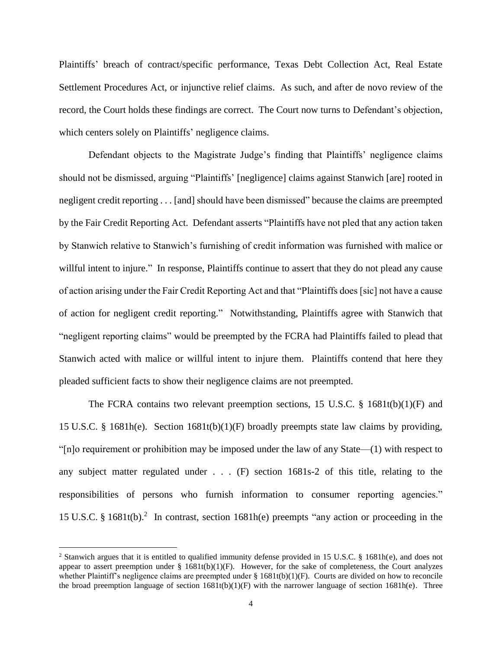Plaintiffs' breach of contract/specific performance, Texas Debt Collection Act, Real Estate Settlement Procedures Act, or injunctive relief claims. As such, and after de novo review of the record, the Court holds these findings are correct. The Court now turns to Defendant's objection, which centers solely on Plaintiffs' negligence claims.

Defendant objects to the Magistrate Judge's finding that Plaintiffs' negligence claims should not be dismissed, arguing "Plaintiffs' [negligence] claims against Stanwich [are] rooted in negligent credit reporting . . . [and] should have been dismissed" because the claims are preempted by the Fair Credit Reporting Act. Defendant asserts "Plaintiffs have not pled that any action taken by Stanwich relative to Stanwich's furnishing of credit information was furnished with malice or willful intent to injure." In response, Plaintiffs continue to assert that they do not plead any cause of action arising under the Fair Credit Reporting Act and that "Plaintiffs does [sic] not have a cause of action for negligent credit reporting." Notwithstanding, Plaintiffs agree with Stanwich that "negligent reporting claims" would be preempted by the FCRA had Plaintiffs failed to plead that Stanwich acted with malice or willful intent to injure them. Plaintiffs contend that here they pleaded sufficient facts to show their negligence claims are not preempted.

The FCRA contains two relevant preemption sections, 15 U.S.C. § 1681t(b)(1)(F) and 15 U.S.C. § 1681h(e). Section 1681t(b)(1)(F) broadly preempts state law claims by providing, "[n]o requirement or prohibition may be imposed under the law of any State—(1) with respect to any subject matter regulated under . . . (F) section 1681s-2 of this title, relating to the responsibilities of persons who furnish information to consumer reporting agencies." 15 U.S.C. § 1681t(b).<sup>2</sup> In contrast, section 1681h(e) preempts "any action or proceeding in the

 $\overline{a}$ 

<sup>&</sup>lt;sup>2</sup> Stanwich argues that it is entitled to qualified immunity defense provided in 15 U.S.C. § 1681h(e), and does not appear to assert preemption under  $\S$  1681t(b)(1)(F). However, for the sake of completeness, the Court analyzes whether Plaintiff's negligence claims are preempted under  $\S 1681t(b)(1)(F)$ . Courts are divided on how to reconcile the broad preemption language of section  $1681t(b)(1)(F)$  with the narrower language of section  $1681h(e)$ . Three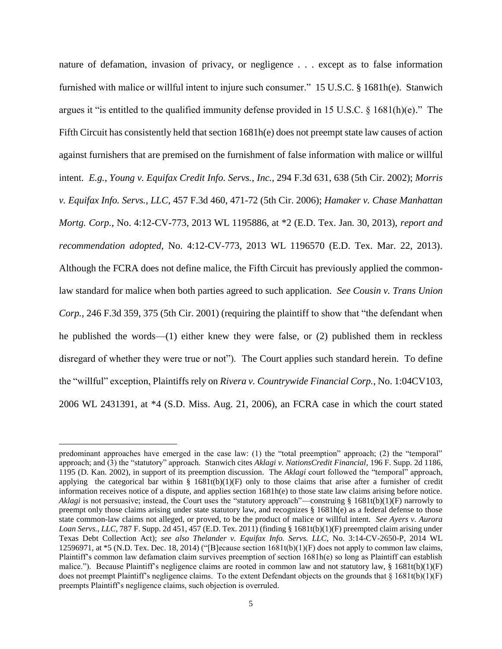nature of defamation, invasion of privacy, or negligence . . . except as to false information furnished with malice or willful intent to injure such consumer." 15 U.S.C. § 1681h(e). Stanwich argues it "is entitled to the qualified immunity defense provided in 15 U.S.C. § 1681(h)(e)." The Fifth Circuit has consistently held that section 1681h(e) does not preempt state law causes of action against furnishers that are premised on the furnishment of false information with malice or willful intent. *E.g.*, *Young v. Equifax Credit Info. Servs., Inc.*, 294 F.3d 631, 638 (5th Cir. 2002); *Morris v. Equifax Info. Servs., LLC*, 457 F.3d 460, 471-72 (5th Cir. 2006); *Hamaker v. Chase Manhattan Mortg. Corp.*, No. 4:12-CV-773, 2013 WL 1195886, at \*2 (E.D. Tex. Jan. 30, 2013), *report and recommendation adopted*, No. 4:12-CV-773, 2013 WL 1196570 (E.D. Tex. Mar. 22, 2013). Although the FCRA does not define malice, the Fifth Circuit has previously applied the commonlaw standard for malice when both parties agreed to such application. *See Cousin v. Trans Union Corp.*, 246 F.3d 359, 375 (5th Cir. 2001) (requiring the plaintiff to show that "the defendant when he published the words—(1) either knew they were false, or (2) published them in reckless disregard of whether they were true or not"). The Court applies such standard herein. To define the "willful" exception, Plaintiffs rely on *Rivera v. Countrywide Financial Corp.*, No. 1:04CV103, 2006 WL 2431391, at \*4 (S.D. Miss. Aug. 21, 2006), an FCRA case in which the court stated

 $\overline{a}$ 

predominant approaches have emerged in the case law: (1) the "total preemption" approach; (2) the "temporal" approach; and (3) the "statutory" approach. Stanwich cites *Aklagi v. NationsCredit Financial*, 196 F. Supp. 2d 1186, 1195 (D. Kan. 2002), in support of its preemption discussion. The *Aklagi* court followed the "temporal" approach, applying the categorical bar within  $\S$  1681t(b)(1)(F) only to those claims that arise after a furnisher of credit information receives notice of a dispute, and applies section 1681h(e) to those state law claims arising before notice. *Aklagi* is not persuasive; instead, the Court uses the "statutory approach"—construing § 1681t(b)(1)(F) narrowly to preempt only those claims arising under state statutory law, and recognizes § 1681h(e) as a federal defense to those state common-law claims not alleged, or proved, to be the product of malice or willful intent. *See Ayers v. Aurora Loan Servs., LLC*, 787 F. Supp. 2d 451, 457 (E.D. Tex. 2011) (finding § 1681t(b)(1)(F) preempted claim arising under Texas Debt Collection Act); *see also Thelander v. Equifax Info. Servs. LLC*, No. 3:14-CV-2650-P, 2014 WL 12596971, at \*5 (N.D. Tex. Dec. 18, 2014) ("[B]ecause section  $1681t(b)(1)(F)$  does not apply to common law claims, Plaintiff's common law defamation claim survives preemption of section 1681h(e) so long as Plaintiff can establish malice."). Because Plaintiff's negligence claims are rooted in common law and not statutory law,  $\S$  1681t(b)(1)(F) does not preempt Plaintiff's negligence claims. To the extent Defendant objects on the grounds that  $\S$  1681t(b)(1)(F) preempts Plaintiff's negligence claims, such objection is overruled.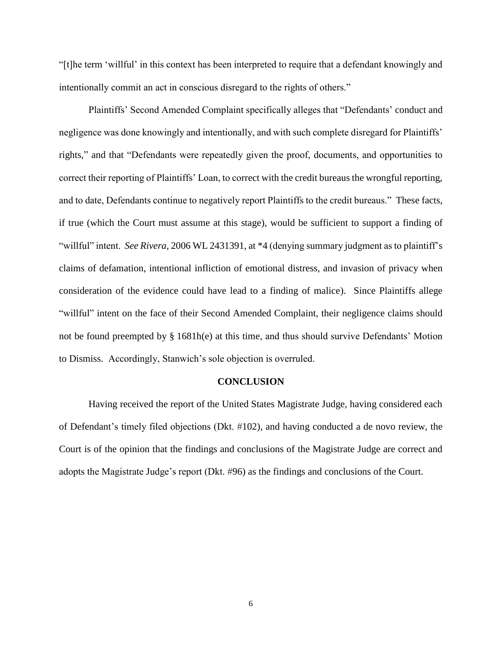"[t]he term 'willful' in this context has been interpreted to require that a defendant knowingly and intentionally commit an act in conscious disregard to the rights of others."

Plaintiffs' Second Amended Complaint specifically alleges that "Defendants' conduct and negligence was done knowingly and intentionally, and with such complete disregard for Plaintiffs' rights," and that "Defendants were repeatedly given the proof, documents, and opportunities to correct their reporting of Plaintiffs' Loan, to correct with the credit bureaus the wrongful reporting, and to date, Defendants continue to negatively report Plaintiffs to the credit bureaus." These facts, if true (which the Court must assume at this stage), would be sufficient to support a finding of "willful" intent. *See Rivera*, 2006 WL 2431391, at \*4 (denying summary judgment as to plaintiff's claims of defamation, intentional infliction of emotional distress, and invasion of privacy when consideration of the evidence could have lead to a finding of malice). Since Plaintiffs allege "willful" intent on the face of their Second Amended Complaint, their negligence claims should not be found preempted by § 1681h(e) at this time, and thus should survive Defendants' Motion to Dismiss. Accordingly, Stanwich's sole objection is overruled.

#### **CONCLUSION**

Having received the report of the United States Magistrate Judge, having considered each of Defendant's timely filed objections (Dkt. #102), and having conducted a de novo review, the Court is of the opinion that the findings and conclusions of the Magistrate Judge are correct and adopts the Magistrate Judge's report (Dkt. #96) as the findings and conclusions of the Court.